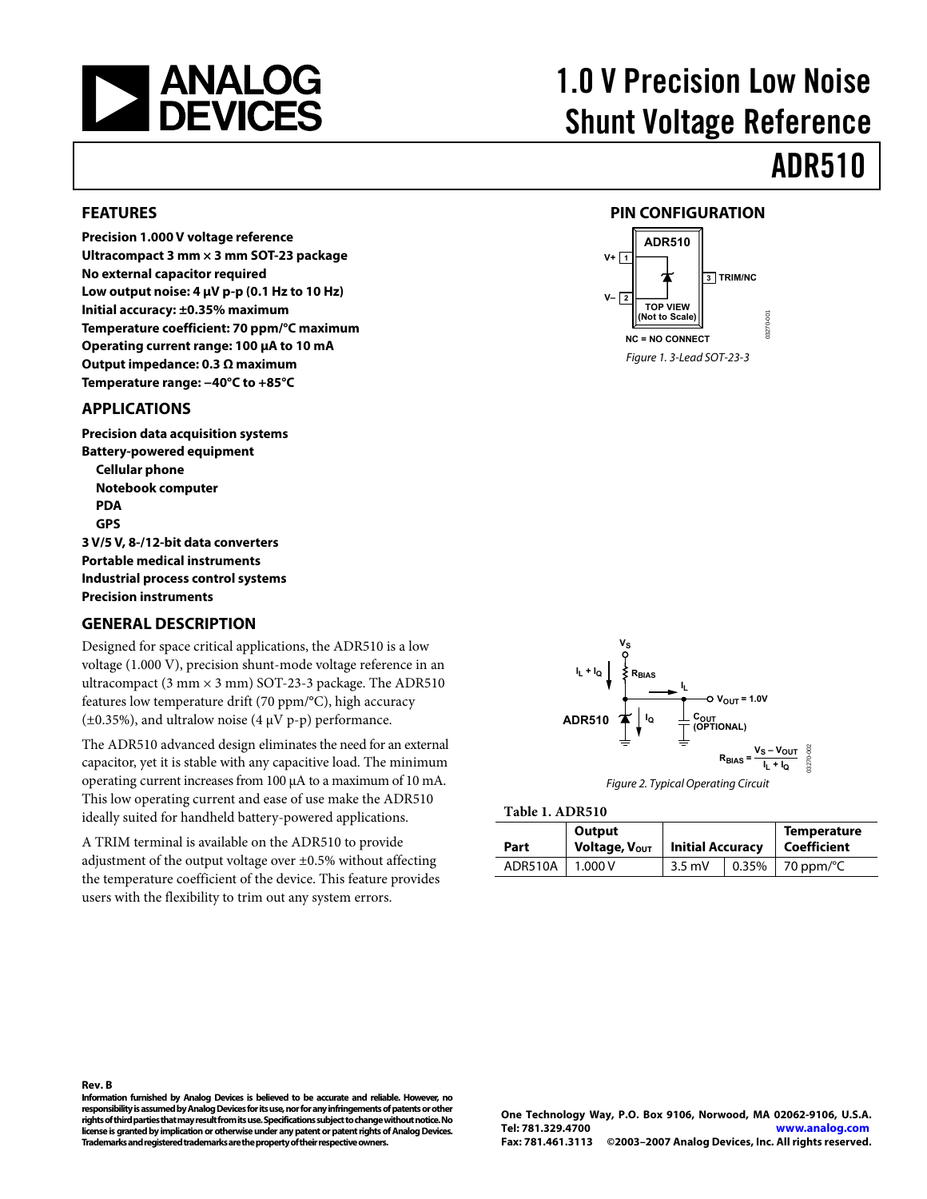<span id="page-0-0"></span>

#### **FEATURES**

**Precision 1.000 V voltage reference Ultracompact 3 mm × 3 mm SOT-23 package No external capacitor required Low output noise: 4 μV p-p (0.1 Hz to 10 Hz) Initial accuracy: ±0.35% maximum Temperature coefficient: 70 ppm/°C maximum Operating current range: 100 μA to 10 mA Output impedance: 0.3 Ω maximum Temperature range: −40°C to +85°C** 

#### **APPLICATIONS**

**Precision data acquisition systems Battery-powered equipment Cellular phone Notebook computer PDA GPS 3 V/5 V, 8-/12-bit data converters Portable medical instruments Industrial process control systems Precision instruments** 

#### **GENERAL DESCRIPTION**

Designed for space critical applications, the ADR510 is a low voltage (1.000 V), precision shunt-mode voltage reference in an ultracompact (3 mm  $\times$  3 mm) SOT-23-3 package. The ADR510 features low temperature drift (70 ppm/°C), high accuracy ( $\pm$ 0.35%), and ultralow noise (4  $\mu$ V p-p) performance.

<span id="page-0-1"></span>The ADR510 advanced design eliminates the need for an external capacitor, yet it is stable with any capacitive load. The minimum operating current increases from 100 μA to a maximum of 10 mA. This low operating current and ease of use make the ADR510 ideally suited for handheld battery-powered applications.

A TRIM terminal is available on the ADR510 to provide adjustment of the output voltage over ±0.5% without affecting the temperature coefficient of the device. This feature provides users with the flexibility to trim out any system errors.

# 1.0 V Precision Low Noise Shunt Voltage Reference

## ADR510

#### **PIN CONFIGURATION**





Figure 2. Typical Operating Circuit

|  | Table 1. ADR510 |
|--|-----------------|
|--|-----------------|

| Part    | Output<br>Voltage, Vout | <b>Initial Accuracy</b> | <b>Temperature</b><br>  Coefficient |  |  |
|---------|-------------------------|-------------------------|-------------------------------------|--|--|
| ADR510A | 1.000V                  | $3.5 \text{ mV}$        | $0.35\%$   70 ppm/ $\degree$ C      |  |  |

**Information furnished by Analog Devices is believed to be accurate and reliable. However, no responsibility is assumed by Analog Devices for its use, nor for any infringements of patents or other rights of third parties that may result from its use. Specifications subject to change without notice. No license is granted by implication or otherwise under any patent or patent rights of Analog Devices. Trademarks and registered trademarks are the property of their respective owners.**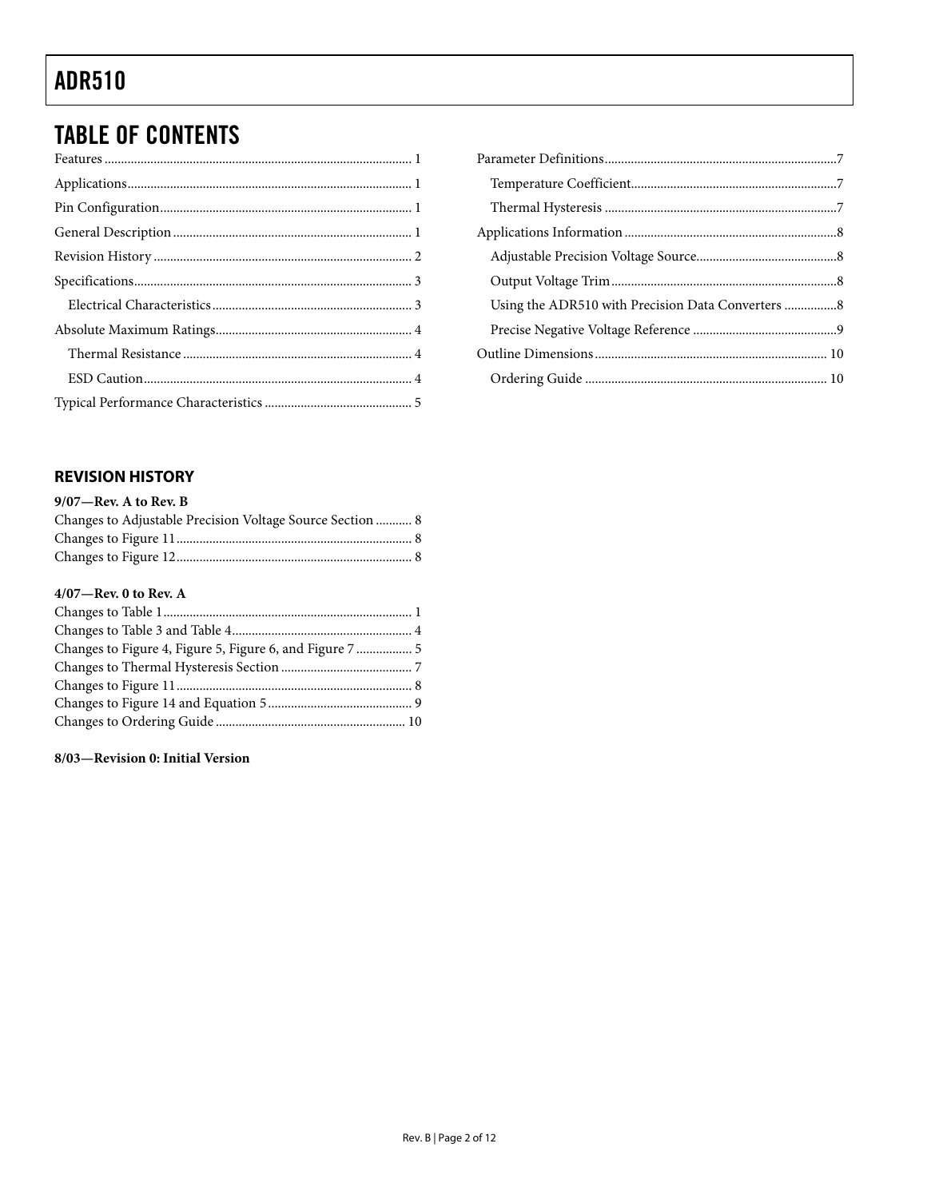### <span id="page-1-0"></span>**TABLE OF CONTENTS**

### Using the ADR510 with Precision Data Converters .................8

#### **REVISION HISTORY**

| $9/07$ —Rev. A to Rev. B |  |  |  |
|--------------------------|--|--|--|
|--------------------------|--|--|--|

| Changes to Adjustable Precision Voltage Source Section  8 |  |
|-----------------------------------------------------------|--|
|                                                           |  |
|                                                           |  |

#### 4/07-Rev. 0 to Rev. A

#### 8/03-Revision 0: Initial Version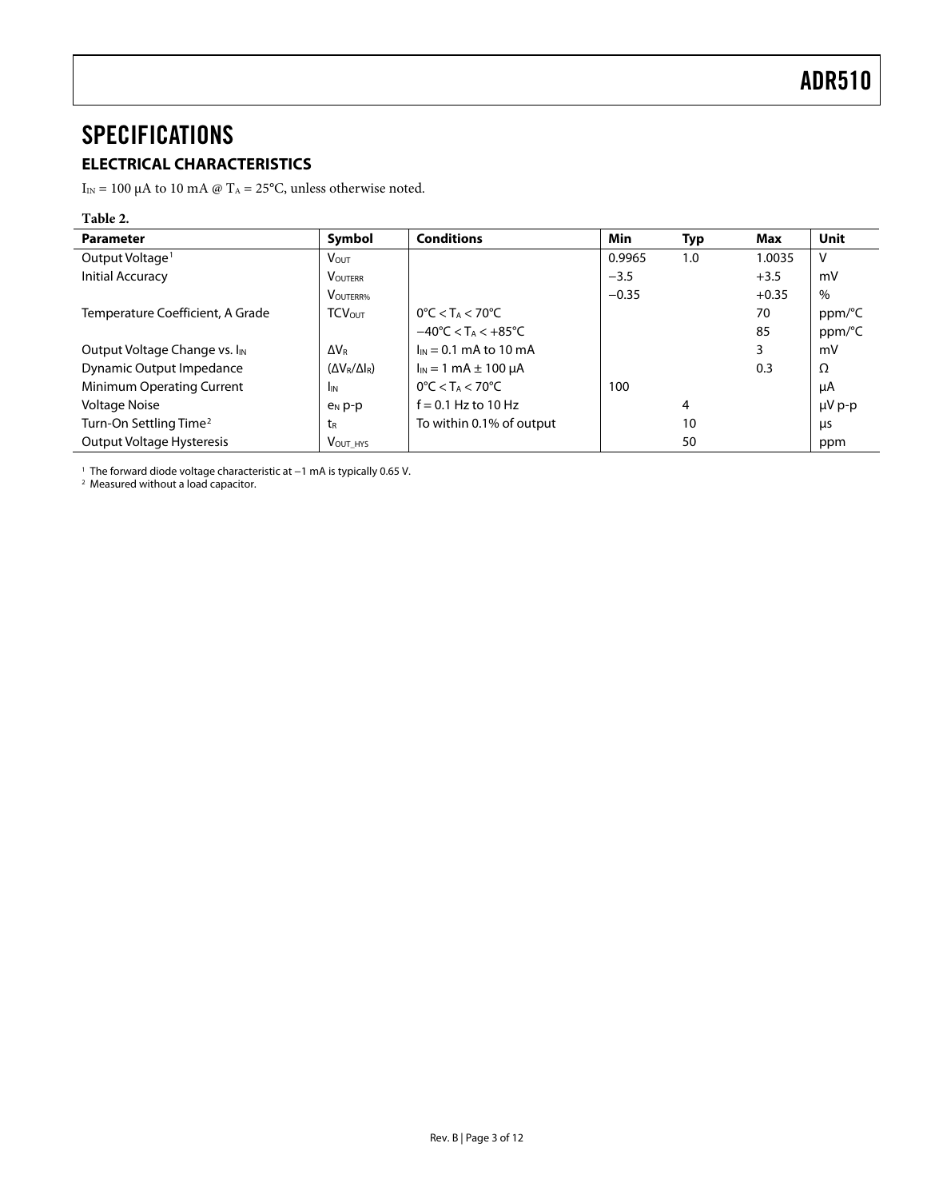### <span id="page-2-0"></span>**SPECIFICATIONS**

### **ELECTRICAL CHARACTERISTICS**

 $I_{\rm IN}$  = 100 μA to 10 mA @ T<sub>A</sub> = 25°C, unless otherwise noted.

### **Table 2.**

| <b>Parameter</b>                          | Symbol                    | <b>Conditions</b>                                  | Min     | <b>Typ</b> | Max     | Unit        |
|-------------------------------------------|---------------------------|----------------------------------------------------|---------|------------|---------|-------------|
| Output Voltage <sup>1</sup>               | $V_{\text{OUT}}$          |                                                    | 0.9965  | 1.0        | 1.0035  | v           |
| Initial Accuracy                          | <b>VOUTERR</b>            |                                                    | $-3.5$  |            | $+3.5$  | mV          |
|                                           | <b>VOUTERR%</b>           |                                                    | $-0.35$ |            | $+0.35$ | $\%$        |
| Temperature Coefficient, A Grade          | <b>TCVOUT</b>             | $0^{\circ}$ C < T <sub>A</sub> < 70 $^{\circ}$ C   |         |            | 70      | ppm/°C      |
|                                           |                           | $-40^{\circ}$ C < T <sub>A</sub> < $+85^{\circ}$ C |         |            | 85      | ppm/°C      |
| Output Voltage Change vs. I <sub>IN</sub> | ∆Vr                       | $I_{IN} = 0.1$ mA to 10 mA                         |         |            | 3       | mV          |
| Dynamic Output Impedance                  | $(\Delta V_R/\Delta I_R)$ | $I_{IN} = 1$ mA $\pm$ 100 µA                       |         |            | 0.3     | Ω           |
| <b>Minimum Operating Current</b>          | <b>I</b> IN               | $0^{\circ}$ C < T <sub>A</sub> < 70 $^{\circ}$ C   | 100     |            |         | μA          |
| Voltage Noise                             | $P_N$ $p-p$               | $f = 0.1$ Hz to 10 Hz                              |         | 4          |         | $\mu V$ p-p |
| Turn-On Settling Time <sup>2</sup>        | tr                        | To within 0.1% of output                           |         | 10         |         | μs          |
| Output Voltage Hysteresis                 | VOUT HYS                  |                                                    |         | 50         |         | ppm         |

1 The forward diode voltage characteristic at −1 mA is typically 0.65 V. 2 Measured without a load capacitor.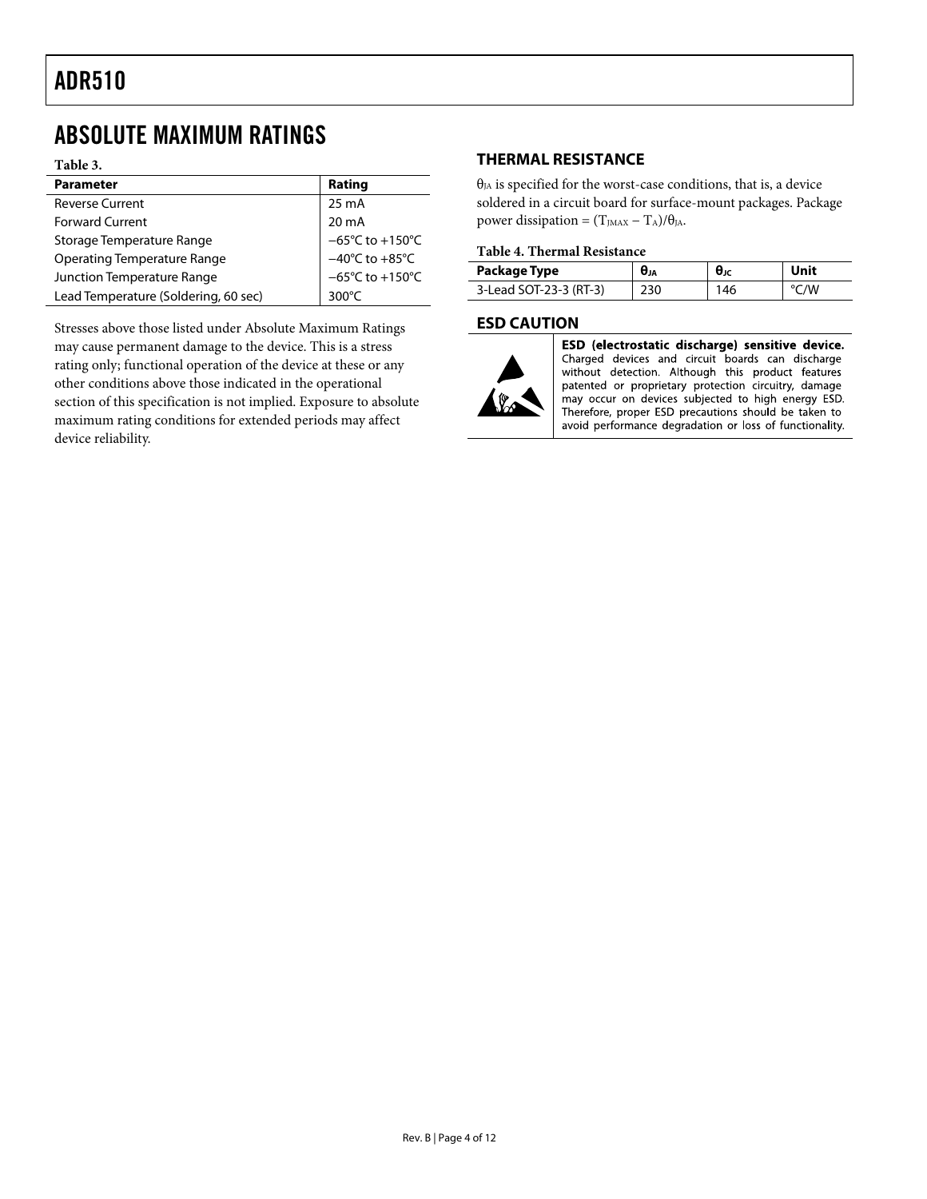### <span id="page-3-0"></span>ABSOLUTE MAXIMUM RATINGS

**Table 3.** 

| <b>Parameter</b>                     | Rating                               |
|--------------------------------------|--------------------------------------|
| <b>Reverse Current</b>               | 25 mA                                |
| <b>Forward Current</b>               | $20 \text{ mA}$                      |
| Storage Temperature Range            | $-65^{\circ}$ C to +150 $^{\circ}$ C |
| Operating Temperature Range          | $-40^{\circ}$ C to $+85^{\circ}$ C   |
| Junction Temperature Range           | $-65^{\circ}$ C to +150 $^{\circ}$ C |
| Lead Temperature (Soldering, 60 sec) | 300°C                                |
|                                      |                                      |

Stresses above those listed under Absolute Maximum Ratings may cause permanent damage to the device. This is a stress rating only; functional operation of the device at these or any other conditions above those indicated in the operational section of this specification is not implied. Exposure to absolute maximum rating conditions for extended periods may affect device reliability.

#### **THERMAL RESISTANCE**

 $\theta_{JA}$  is specified for the worst-case conditions, that is, a device soldered in a circuit board for surface-mount packages. Package power dissipation =  $(T_{JMAX} - T_A)/\theta_{JA}$ .

#### **Table 4. Thermal Resistance**

| Package Type           | $\bm{\theta}_{JA}$ | $θ$ ις | Unit |
|------------------------|--------------------|--------|------|
| 3-Lead SOT-23-3 (RT-3) | 230                | 146    | °C/W |

#### **ESD CAUTION**



ESD (electrostatic discharge) sensitive device. Charged devices and circuit boards can discharge without detection. Although this product features patented or proprietary protection circuitry, damage may occur on devices subjected to high energy ESD. Therefore, proper ESD precautions should be taken to avoid performance degradation or loss of functionality.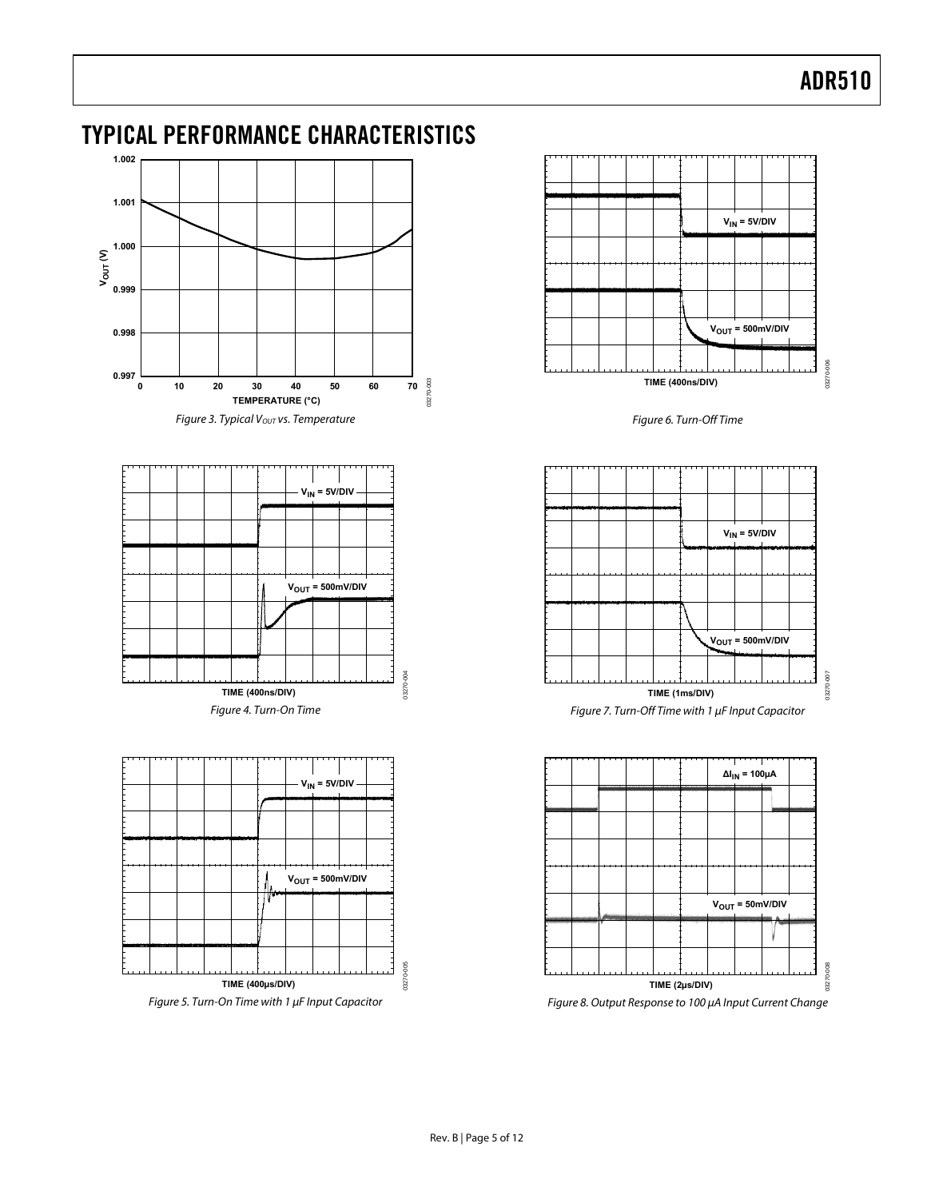### <span id="page-4-0"></span>TYPICAL PERFORMANCE CHARACTERISTICS



Figure 3. Typical  $V_{OUT}$  vs. Temperature





Figure 5. Turn-On Time with 1 μF Input Capacitor



Figure 6. Turn-Off Time



 $\Delta I_{IN}$  = 100 $\mu$ A  $V<sub>OUT</sub> = 50mV/DIV$  $\frac{8}{2}$ 03270-008 **TIME (2µs/DIV)**



03270-005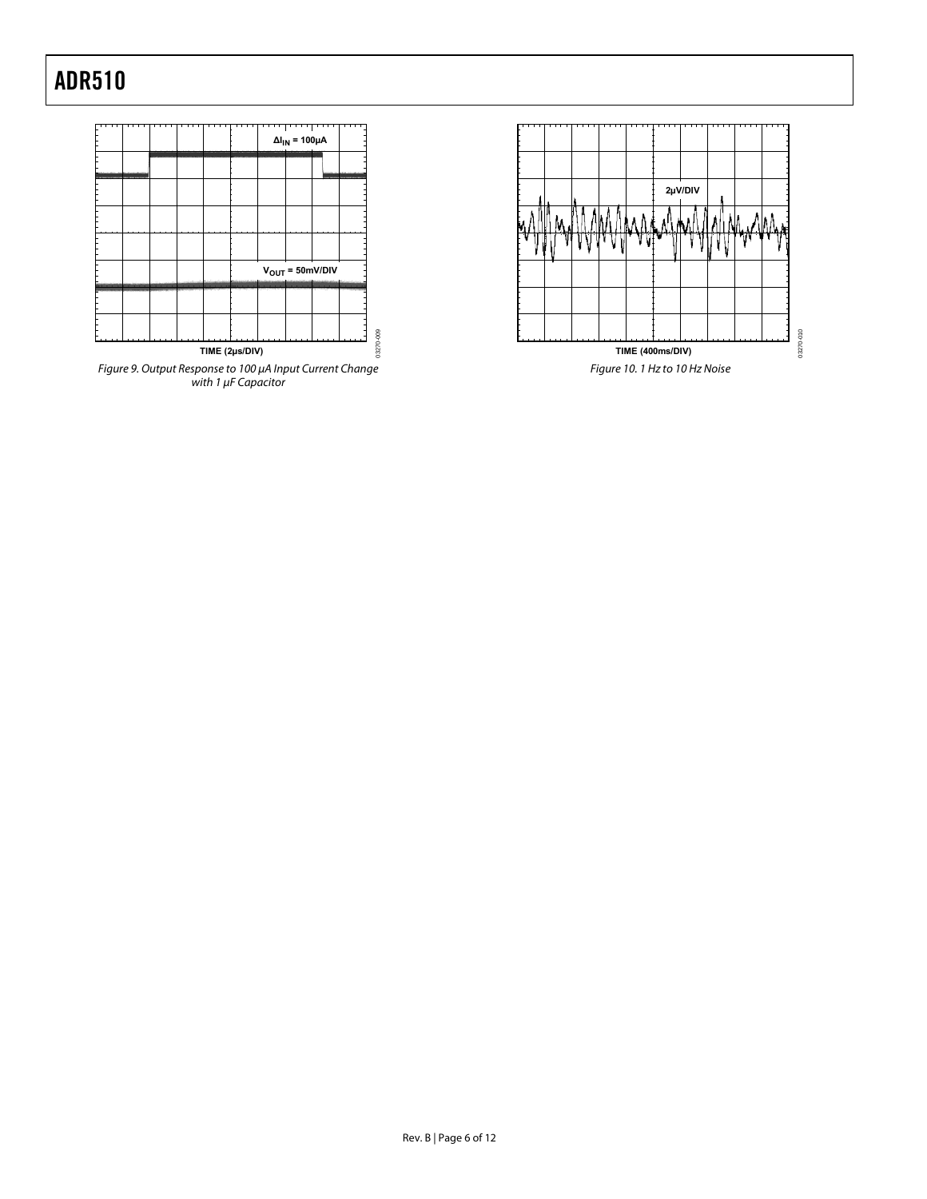



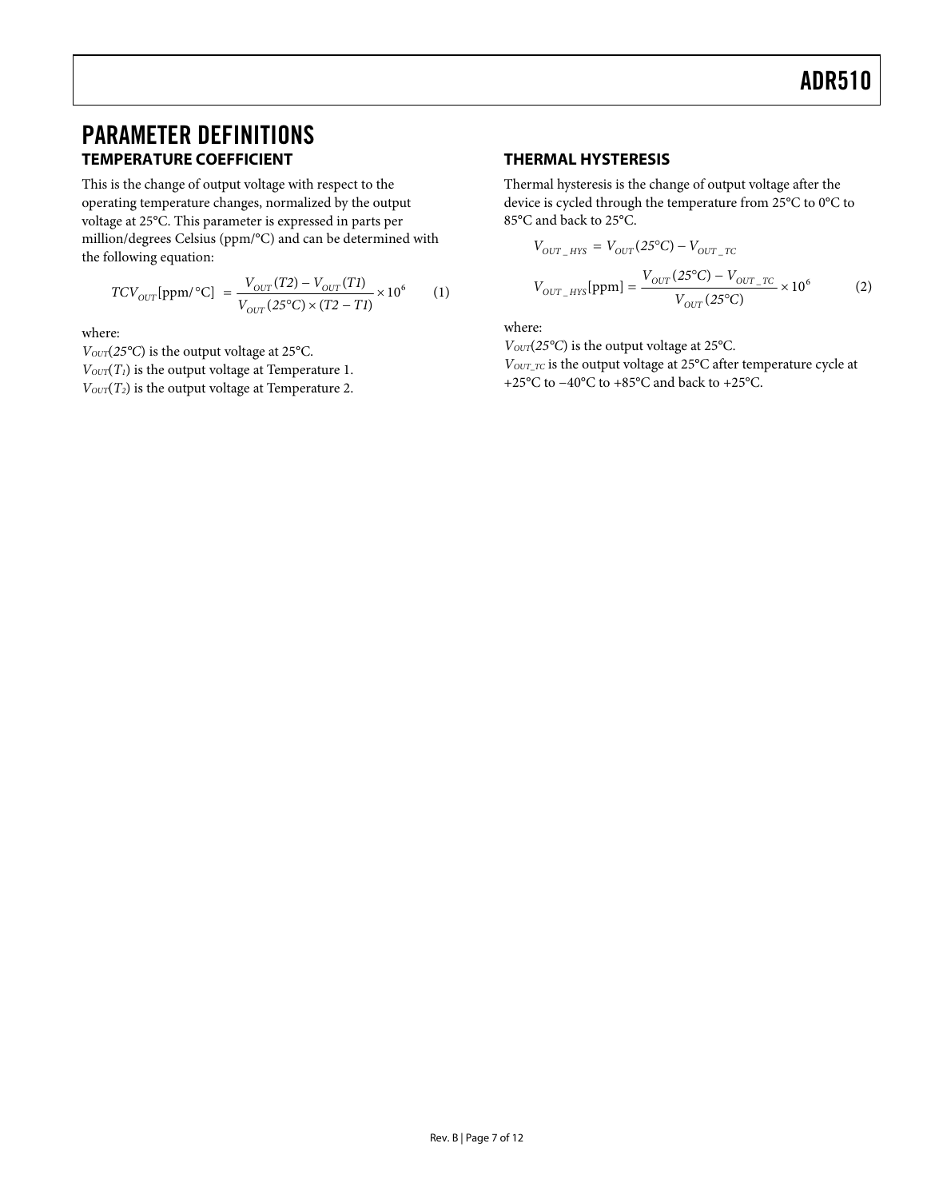### <span id="page-6-0"></span>PARAMETER DEFINITIONS **TEMPERATURE COEFFICIENT**

This is the change of output voltage with respect to the operating temperature changes, normalized by the output voltage at 25°C. This parameter is expressed in parts per million/degrees Celsius (ppm/°C) and can be determined with the following equation:

$$
TCV_{OUT}[ppm/°C] = \frac{V_{OUT}(T2) - V_{OUT}(T1)}{V_{OUT}(25°C) \times (T2 - T1)} \times 10^6 \tag{1}
$$

where:

*VOUT*(*25°C*) is the output voltage at 25°C.

 $V_{\text{OUT}}(T_1)$  is the output voltage at Temperature 1.

*V*<sub>OUT</sub>(*T*<sub>2</sub>) is the output voltage at Temperature 2.

#### **THERMAL HYSTERESIS**

Thermal hysteresis is the change of output voltage after the device is cycled through the temperature from 25°C to 0°C to 85°C and back to 25°C.

$$
V_{OUT\_HYS} = V_{OUT}(25^{\circ}\text{C}) - V_{OUT\_TC}
$$
  

$$
V_{OUT\_HYS}[\text{ppm}] = \frac{V_{OUT}(25^{\circ}\text{C}) - V_{OUT\_TC}}{V_{OUT}(25^{\circ}\text{C})} \times 10^6
$$
 (2)

where:

*VOUT*(*25°C*) is the output voltage at 25°C. *VOUT\_TC* is the output voltage at 25°C after temperature cycle at +25°C to −40°C to +85°C and back to +25°C.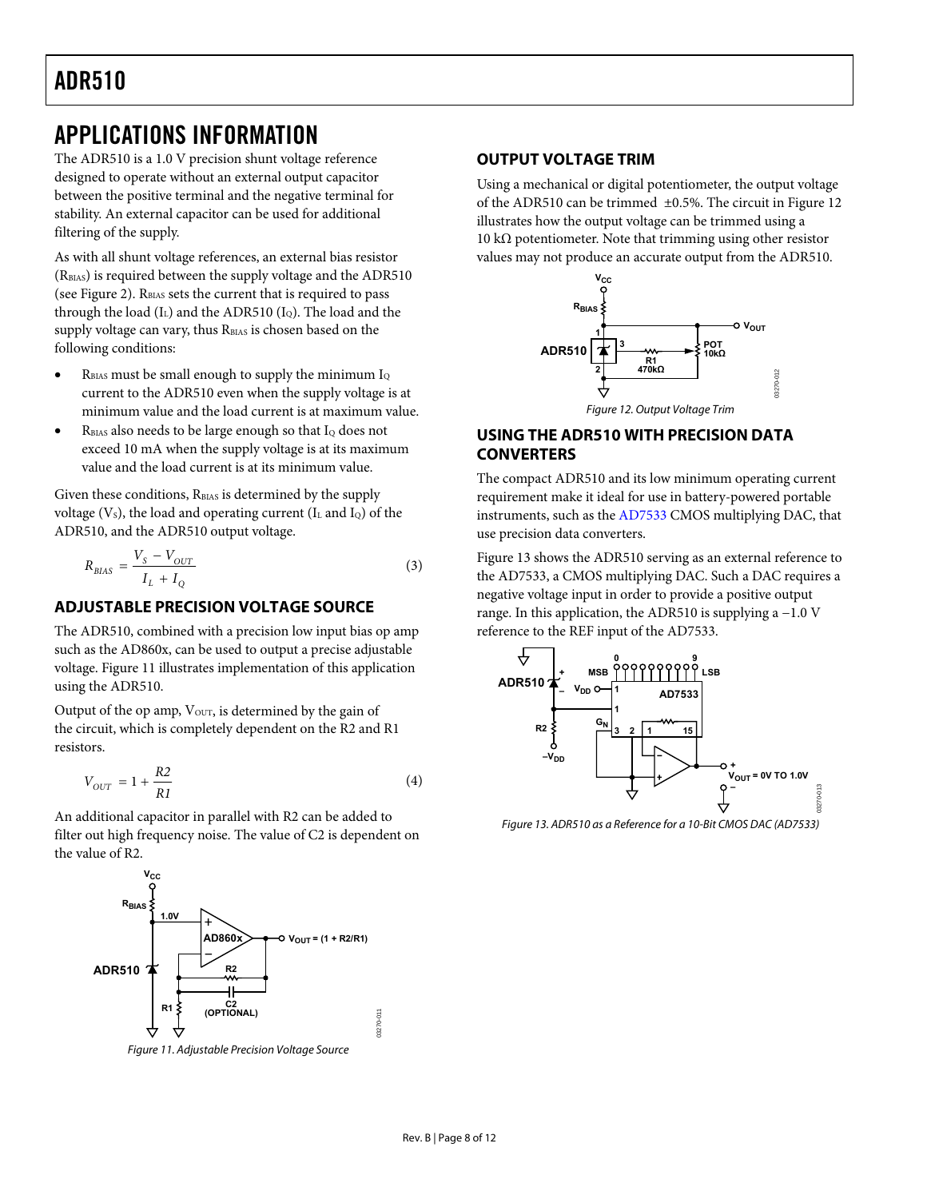### <span id="page-7-0"></span>APPLICATIONS INFORMATION

The ADR510 is a 1.0 V precision shunt voltage reference designed to operate without an external output capacitor between the positive terminal and the negative terminal for stability. An external capacitor can be used for additional filtering of the supply.

As with all shunt voltage references, an external bias resistor (RBIAS) is required between the supply voltage and the ADR510 (see [Figure 2](#page-0-1)).  $R<sub>BIAS</sub>$  sets the current that is required to pass through the load  $(I_L)$  and the ADR510  $(I_Q)$ . The load and the supply voltage can vary, thus R<sub>BIAS</sub> is chosen based on the following conditions:

- $R<sub>BIAS</sub>$  must be small enough to supply the minimum  $I<sub>Q</sub>$ current to the ADR510 even when the supply voltage is at minimum value and the load current is at maximum value.
- <span id="page-7-2"></span>R<sub>BIAS</sub> also needs to be large enough so that I<sub>Q</sub> does not exceed 10 mA when the supply voltage is at its maximum value and the load current is at its minimum value.

Given these conditions, R<sub>BIAS</sub> is determined by the supply voltage  $(V<sub>S</sub>)$ , the load and operating current  $(I<sub>L</sub>$  and  $I<sub>Q</sub>)$  of the ADR510, and the ADR510 output voltage.

$$
R_{BIAS} = \frac{V_S - V_{OUT}}{I_L + I_Q} \tag{3}
$$

#### **ADJUSTABLE PRECISION VOLTAGE SOURCE**

The ADR510, combined with a precision low input bias op amp such as the AD860x, can be used to output a precise adjustable voltage. [Figure 11](#page-7-1) illustrates implementation of this application using the ADR510.

Output of the op amp,  $V_{\text{OUT}}$ , is determined by the gain of the circuit, which is completely dependent on the R2 and R1 resistors.

$$
V_{OUT} = 1 + \frac{R2}{R1}
$$
\n<sup>(4)</sup>

<span id="page-7-3"></span>An additional capacitor in parallel with R2 can be added to filter out high frequency noise. The value of C2 is dependent on the value of R2.



<span id="page-7-1"></span>Figure 11. Adjustable Precision Voltage Source

#### **OUTPUT VOLTAGE TRIM**

Using a mechanical or digital potentiometer, the output voltage of the ADR510 can be trimmed ±0.5%. The circuit in [Figure 12](#page-7-2) illustrates how the output voltage can be trimmed using a 10 kΩ potentiometer. Note that trimming using other resistor values may not produce an accurate output from the ADR510.



#### **USING THE ADR510 WITH PRECISION DATA CONVERTERS**

The compact ADR510 and its low minimum operating current requirement make it ideal for use in battery-powered portable instruments, such as the [AD7533](http://www.analog.com/AD7533) CMOS multiplying DAC, that use precision data converters.

[Figure 13](#page-7-3) shows the ADR510 serving as an external reference to the [AD7533,](http://www.analog.com/AD7533) a CMOS multiplying DAC. Such a DAC requires a negative voltage input in order to provide a positive output range. In this application, the ADR510 is supplying a −1.0 V reference to the REF input of the [AD7533.](http://www.analog.com/AD7533)



Figure 13. ADR510 as a Reference for a 10-Bit CMOS DAC (AD7533)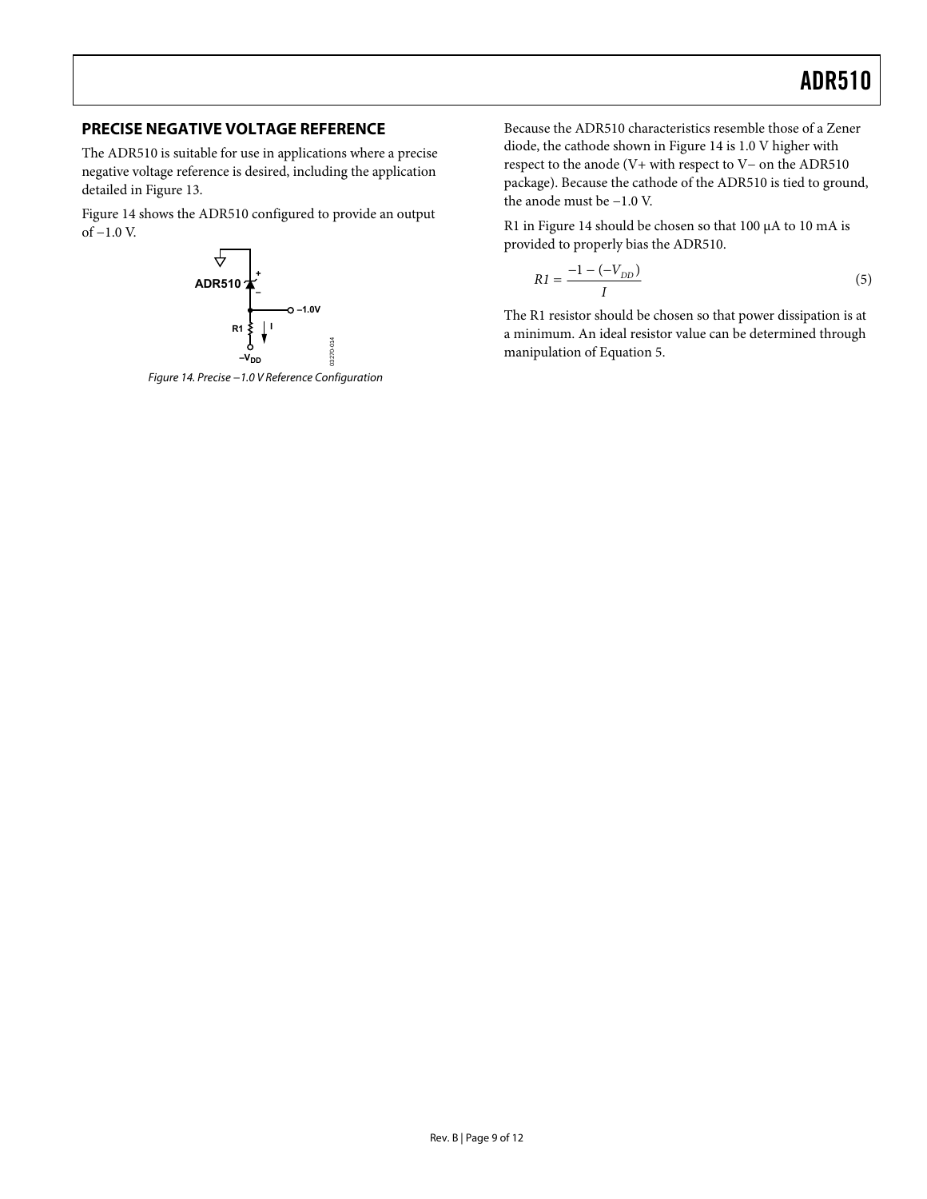#### <span id="page-8-0"></span>**PRECISE NEGATIVE VOLTAGE REFERENCE**

The ADR510 is suitable for use in applications where a precise negative voltage reference is desired, including the application detailed in [Figure 13.](#page-7-3)

[Figure 14](#page-8-1) shows the ADR510 configured to provide an output of −1.0 V.



<span id="page-8-1"></span>Figure 14. Precise −1.0 V Reference Configuration

Because the ADR510 characteristics resemble those of a Zener diode, the cathode shown in [Figure 14](#page-8-1) is 1.0 V higher with respect to the anode (V+ with respect to V− on the ADR510 package). Because the cathode of the ADR510 is tied to ground, the anode must be −1.0 V.

R1 in [Figure 14](#page-8-1) should be chosen so that 100 μA to 10 mA is provided to properly bias the ADR510.

$$
R1 = \frac{-1 - (-V_{DD})}{I}
$$
 (5)

The R1 resistor should be chosen so that power dissipation is at a minimum. An ideal resistor value can be determined through manipulation of Equation 5.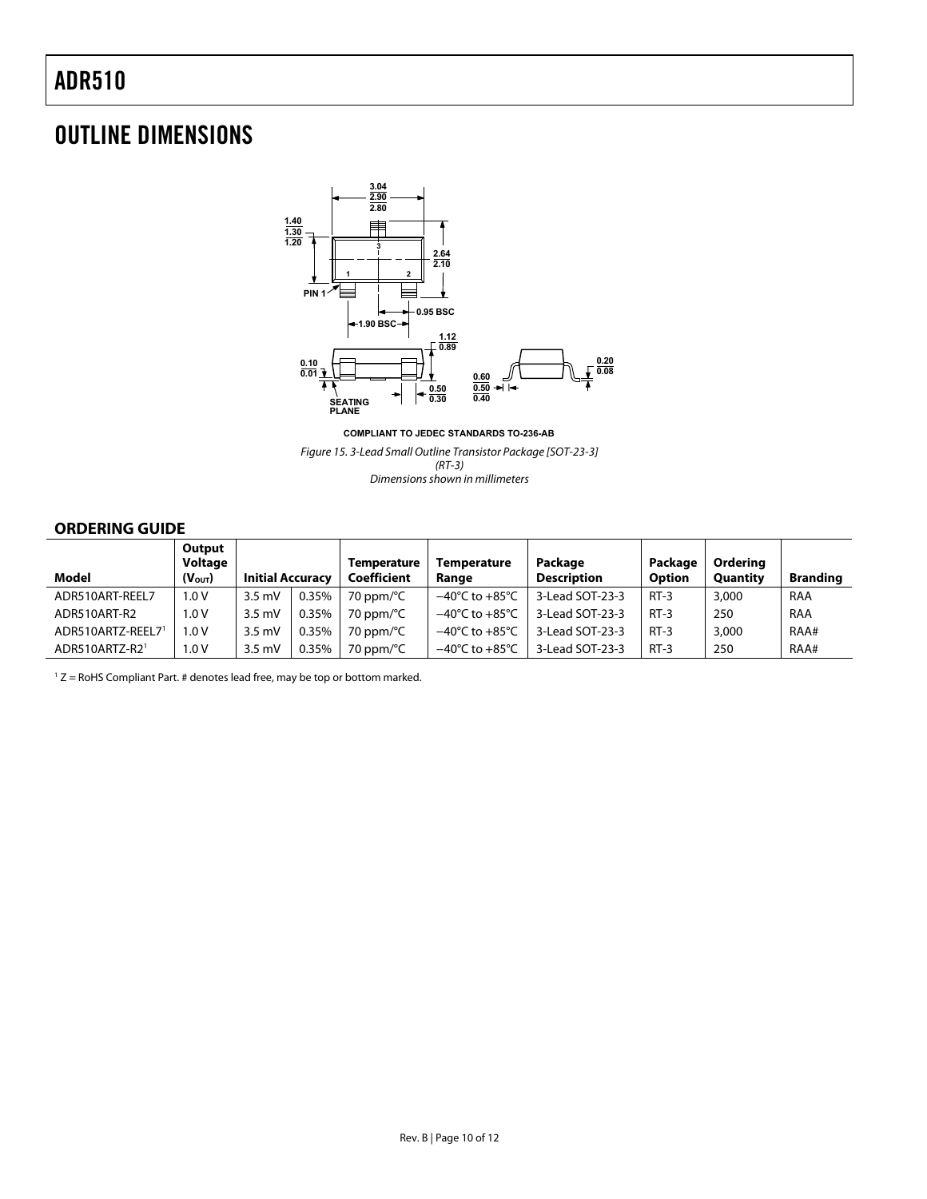### <span id="page-9-0"></span>OUTLINE DIMENSIONS



**COMPLIANT TO JEDEC STANDARDS TO-236-AB**

Figure 15. 3-Lead Small Outline Transistor Package [SOT-23-3] (RT-3) Dimensions shown in millimeters

#### **ORDERING GUIDE**

|                   | Output<br>Voltage  |                         |       | <b>Temperature</b>  | <b>Temperature</b>                 | Package            | Package       | <b>Orderina</b> |                 |
|-------------------|--------------------|-------------------------|-------|---------------------|------------------------------------|--------------------|---------------|-----------------|-----------------|
| Model             | $(V_{\text{OUT}})$ | <b>Initial Accuracy</b> |       | Coefficient         | Range                              | <b>Description</b> | <b>Option</b> | <b>Quantity</b> | <b>Branding</b> |
| ADR510ART-REEL7   | 1.0 V              | $3.5 \text{ mV}$        | 0.35% | 70 ppm/°C           | $-40^{\circ}$ C to $+85^{\circ}$ C | 3-Lead SOT-23-3    | $RT-3$        | 3,000           | RAA             |
| ADR510ART-R2      | 1.0 V              | $3.5 \text{ mV}$        | 0.35% | 70 ppm/°C           | $-40^{\circ}$ C to $+85^{\circ}$ C | 3-Lead SOT-23-3    | $RT-3$        | 250             | RAA             |
| ADR510ARTZ-REEL71 | 1.0 V              | $3.5 \text{ mV}$        | 0.35% | 70 ppm/ $\degree$ C | $-40^{\circ}$ C to $+85^{\circ}$ C | 3-Lead SOT-23-3    | $RT-3$        | 3,000           | RAA#            |
| ADR510ARTZ-R21    | 1.0 V              | $3.5 \text{ mV}$        | 0.35% | 70 ppm/°C           | $-40^{\circ}$ C to $+85^{\circ}$ C | 3-Lead SOT-23-3    | $RT-3$        | 250             | RAA#            |

 $1 Z =$  RoHS Compliant Part. # denotes lead free, may be top or bottom marked.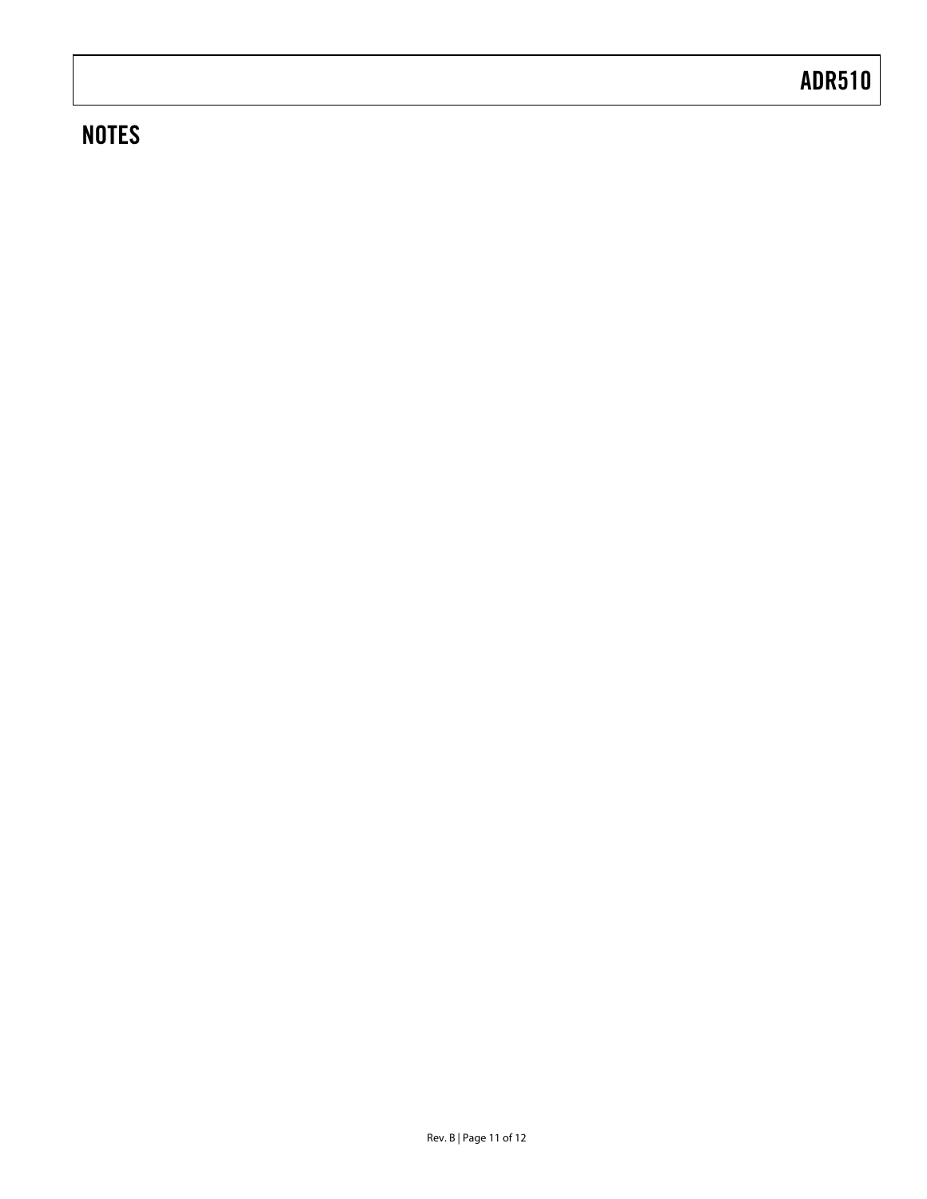### **NOTES**